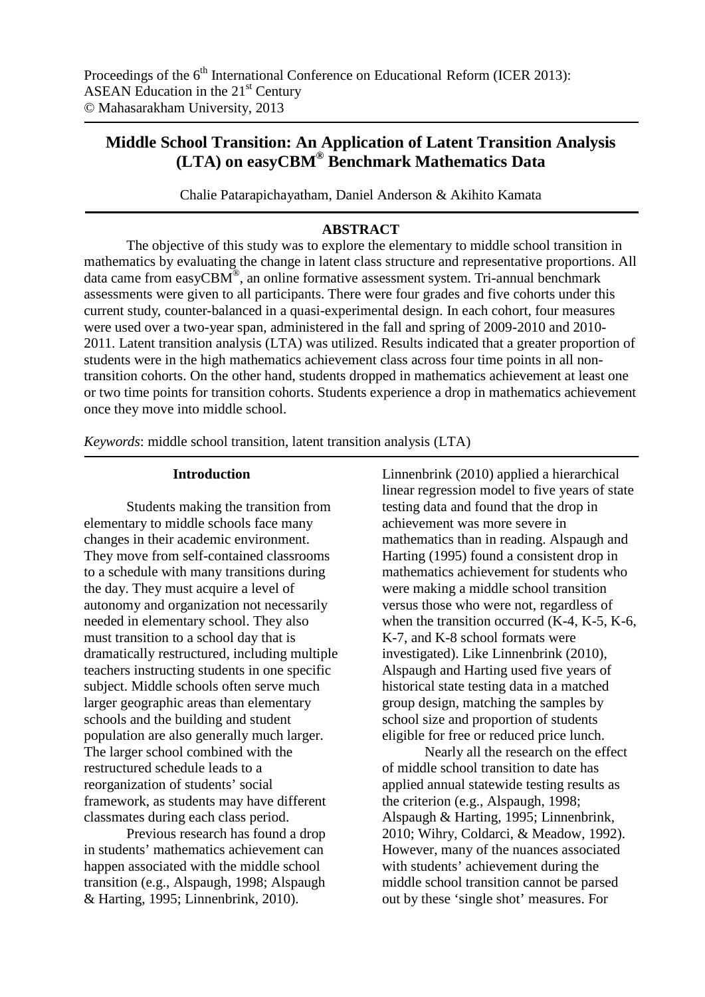# **Middle School Transition: An Application of Latent Transition Analysis (LTA) on easyCBM® Benchmark Mathematics Data**

Chalie Patarapichayatham, Daniel Anderson & Akihito Kamata

## **ABSTRACT**

The objective of this study was to explore the elementary to middle school transition in mathematics by evaluating the change in latent class structure and representative proportions. All data came from easyCBM®, an online formative assessment system. Tri-annual benchmark assessments were given to all participants. There were four grades and five cohorts under this current study, counter-balanced in a quasi-experimental design. In each cohort, four measures were used over a two-year span, administered in the fall and spring of 2009-2010 and 2010- 2011. Latent transition analysis (LTA) was utilized. Results indicated that a greater proportion of students were in the high mathematics achievement class across four time points in all nontransition cohorts. On the other hand, students dropped in mathematics achievement at least one or two time points for transition cohorts. Students experience a drop in mathematics achievement once they move into middle school.

*Keywords*: middle school transition, latent transition analysis (LTA)

## **Introduction**

Students making the transition from elementary to middle schools face many changes in their academic environment. They move from self-contained classrooms to a schedule with many transitions during the day. They must acquire a level of autonomy and organization not necessarily needed in elementary school. They also must transition to a school day that is dramatically restructured, including multiple teachers instructing students in one specific subject. Middle schools often serve much larger geographic areas than elementary schools and the building and student population are also generally much larger. The larger school combined with the restructured schedule leads to a reorganization of students' social framework, as students may have different classmates during each class period.

Previous research has found a drop in students' mathematics achievement can happen associated with the middle school transition (e.g., Alspaugh, 1998; Alspaugh & Harting, 1995; Linnenbrink, 2010).

Linnenbrink (2010) applied a hierarchical linear regression model to five years of state testing data and found that the drop in achievement was more severe in mathematics than in reading. Alspaugh and Harting (1995) found a consistent drop in mathematics achievement for students who were making a middle school transition versus those who were not, regardless of when the transition occurred (K-4, K-5, K-6, K-7, and K-8 school formats were investigated). Like Linnenbrink (2010), Alspaugh and Harting used five years of historical state testing data in a matched group design, matching the samples by school size and proportion of students eligible for free or reduced price lunch.

Nearly all the research on the effect of middle school transition to date has applied annual statewide testing results as the criterion (e.g., Alspaugh, 1998; Alspaugh & Harting, 1995; Linnenbrink, 2010; Wihry, Coldarci, & Meadow, 1992). However, many of the nuances associated with students' achievement during the middle school transition cannot be parsed out by these 'single shot' measures. For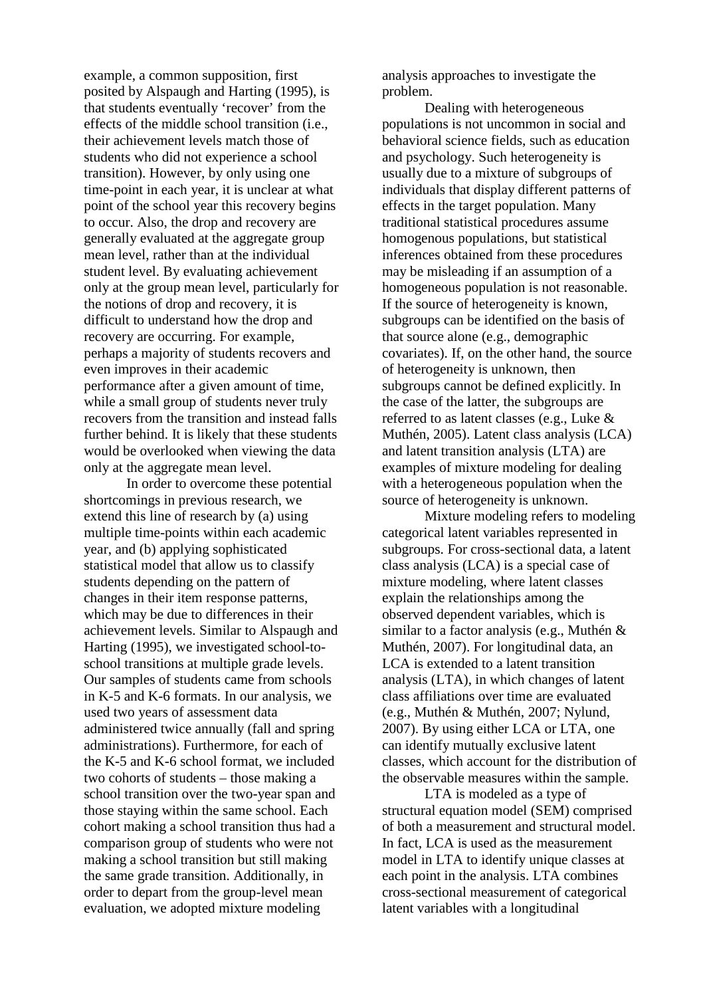example, a common supposition, first posited by Alspaugh and Harting (1995), is that students eventually 'recover' from the effects of the middle school transition (i.e., their achievement levels match those of students who did not experience a school transition). However, by only using one time-point in each year, it is unclear at what point of the school year this recovery begins to occur. Also, the drop and recovery are generally evaluated at the aggregate group mean level, rather than at the individual student level. By evaluating achievement only at the group mean level, particularly for the notions of drop and recovery, it is difficult to understand how the drop and recovery are occurring. For example, perhaps a majority of students recovers and even improves in their academic performance after a given amount of time, while a small group of students never truly recovers from the transition and instead falls further behind. It is likely that these students would be overlooked when viewing the data only at the aggregate mean level.

In order to overcome these potential shortcomings in previous research, we extend this line of research by (a) using multiple time-points within each academic year, and (b) applying sophisticated statistical model that allow us to classify students depending on the pattern of changes in their item response patterns, which may be due to differences in their achievement levels. Similar to Alspaugh and Harting (1995), we investigated school-toschool transitions at multiple grade levels. Our samples of students came from schools in K-5 and K-6 formats. In our analysis, we used two years of assessment data administered twice annually (fall and spring administrations). Furthermore, for each of the K-5 and K-6 school format, we included two cohorts of students – those making a school transition over the two-year span and those staying within the same school. Each cohort making a school transition thus had a comparison group of students who were not making a school transition but still making the same grade transition. Additionally, in order to depart from the group-level mean evaluation, we adopted mixture modeling

analysis approaches to investigate the problem.

Dealing with heterogeneous populations is not uncommon in social and behavioral science fields, such as education and psychology. Such heterogeneity is usually due to a mixture of subgroups of individuals that display different patterns of effects in the target population. Many traditional statistical procedures assume homogenous populations, but statistical inferences obtained from these procedures may be misleading if an assumption of a homogeneous population is not reasonable. If the source of heterogeneity is known, subgroups can be identified on the basis of that source alone (e.g., demographic covariates). If, on the other hand, the source of heterogeneity is unknown, then subgroups cannot be defined explicitly. In the case of the latter, the subgroups are referred to as latent classes (e.g., Luke & Muthén, 2005). Latent class analysis (LCA) and latent transition analysis (LTA) are examples of mixture modeling for dealing with a heterogeneous population when the source of heterogeneity is unknown.

Mixture modeling refers to modeling categorical latent variables represented in subgroups. For cross-sectional data, a latent class analysis (LCA) is a special case of mixture modeling, where latent classes explain the relationships among the observed dependent variables, which is similar to a factor analysis (e.g., Muthén & Muthén, 2007). For longitudinal data, an LCA is extended to a latent transition analysis (LTA), in which changes of latent class affiliations over time are evaluated (e.g., Muthén & Muthén, 2007; Nylund, 2007). By using either LCA or LTA, one can identify mutually exclusive latent classes, which account for the distribution of the observable measures within the sample.

LTA is modeled as a type of structural equation model (SEM) comprised of both a measurement and structural model. In fact, LCA is used as the measurement model in LTA to identify unique classes at each point in the analysis. LTA combines cross-sectional measurement of categorical latent variables with a longitudinal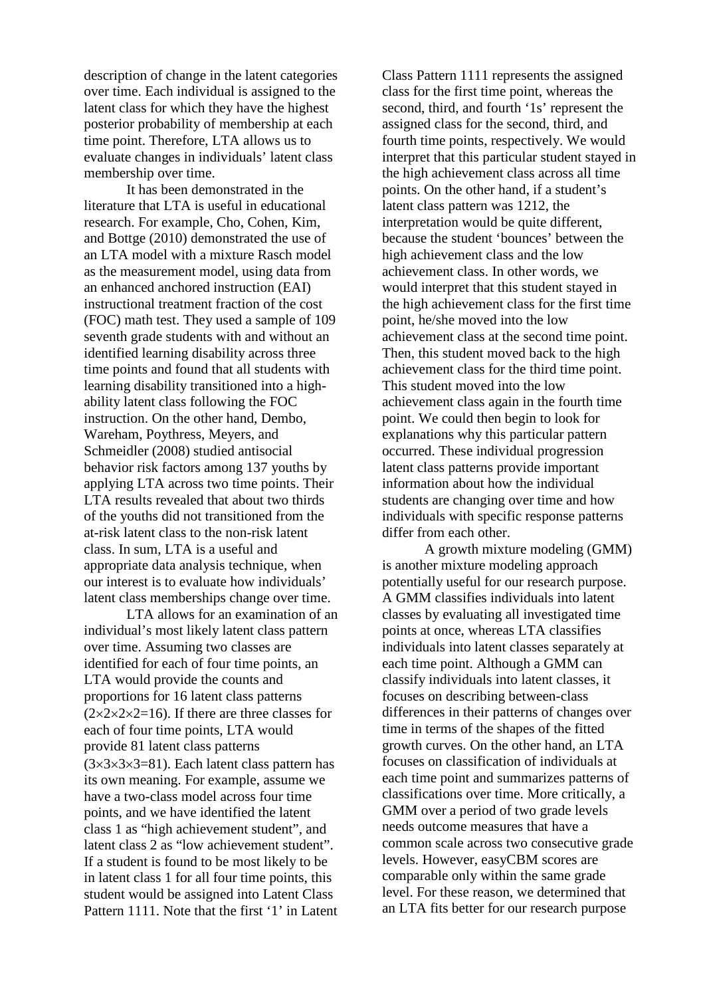description of change in the latent categories over time. Each individual is assigned to the latent class for which they have the highest posterior probability of membership at each time point. Therefore, LTA allows us to evaluate changes in individuals' latent class membership over time.

It has been demonstrated in the literature that LTA is useful in educational research. For example, Cho, Cohen, Kim, and Bottge (2010) demonstrated the use of an LTA model with a mixture Rasch model as the measurement model, using data from an enhanced anchored instruction (EAI) instructional treatment fraction of the cost (FOC) math test. They used a sample of 109 seventh grade students with and without an identified learning disability across three time points and found that all students with learning disability transitioned into a highability latent class following the FOC instruction. On the other hand, Dembo, Wareham, Poythress, Meyers, and Schmeidler (2008) studied antisocial behavior risk factors among 137 youths by applying LTA across two time points. Their LTA results revealed that about two thirds of the youths did not transitioned from the at-risk latent class to the non-risk latent class. In sum, LTA is a useful and appropriate data analysis technique, when our interest is to evaluate how individuals' latent class memberships change over time.

LTA allows for an examination of an individual's most likely latent class pattern over time. Assuming two classes are identified for each of four time points, an LTA would provide the counts and proportions for 16 latent class patterns  $(2 \times 2 \times 2 \times 2 = 16)$ . If there are three classes for each of four time points, LTA would provide 81 latent class patterns  $(3\times3\times3\times3=81)$ . Each latent class pattern has its own meaning. For example, assume we have a two-class model across four time points, and we have identified the latent class 1 as "high achievement student", and latent class 2 as "low achievement student". If a student is found to be most likely to be in latent class 1 for all four time points, this student would be assigned into Latent Class Pattern 1111. Note that the first '1' in Latent

Class Pattern 1111 represents the assigned class for the first time point, whereas the second, third, and fourth '1s' represent the assigned class for the second, third, and fourth time points, respectively. We would interpret that this particular student stayed in the high achievement class across all time points. On the other hand, if a student's latent class pattern was 1212, the interpretation would be quite different, because the student 'bounces' between the high achievement class and the low achievement class. In other words, we would interpret that this student stayed in the high achievement class for the first time point, he/she moved into the low achievement class at the second time point. Then, this student moved back to the high achievement class for the third time point. This student moved into the low achievement class again in the fourth time point. We could then begin to look for explanations why this particular pattern occurred. These individual progression latent class patterns provide important information about how the individual students are changing over time and how individuals with specific response patterns differ from each other.

A growth mixture modeling (GMM) is another mixture modeling approach potentially useful for our research purpose. A GMM classifies individuals into latent classes by evaluating all investigated time points at once, whereas LTA classifies individuals into latent classes separately at each time point. Although a GMM can classify individuals into latent classes, it focuses on describing between-class differences in their patterns of changes over time in terms of the shapes of the fitted growth curves. On the other hand, an LTA focuses on classification of individuals at each time point and summarizes patterns of classifications over time. More critically, a GMM over a period of two grade levels needs outcome measures that have a common scale across two consecutive grade levels. However, easyCBM scores are comparable only within the same grade level. For these reason, we determined that an LTA fits better for our research purpose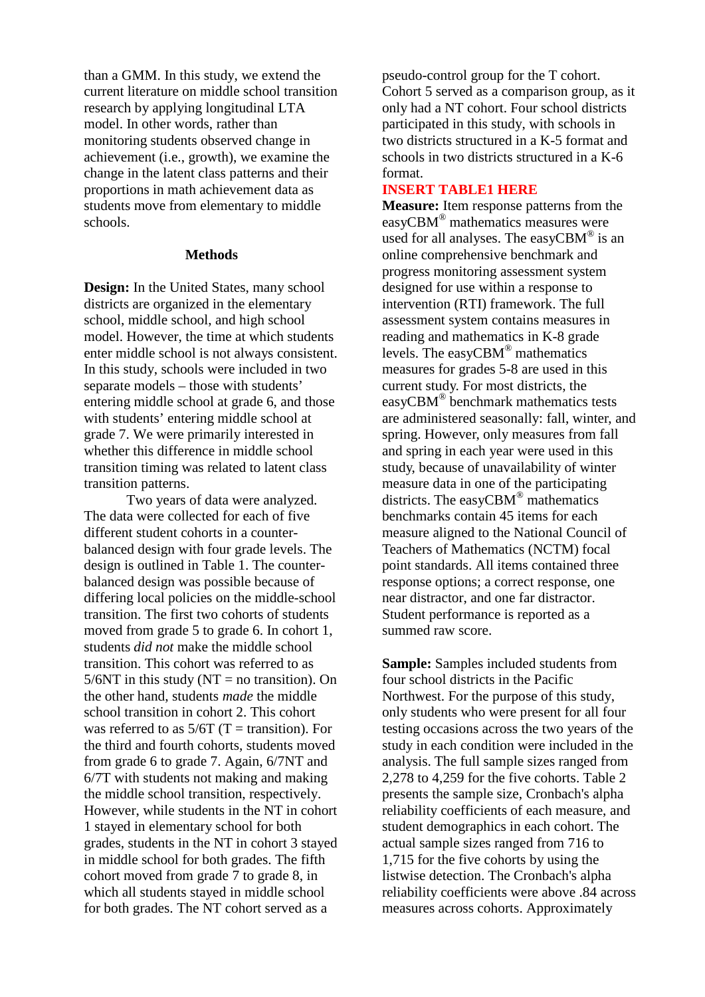than a GMM. In this study, we extend the current literature on middle school transition research by applying longitudinal LTA model. In other words, rather than monitoring students observed change in achievement (i.e., growth), we examine the change in the latent class patterns and their proportions in math achievement data as students move from elementary to middle schools.

#### **Methods**

**Design:** In the United States, many school districts are organized in the elementary school, middle school, and high school model. However, the time at which students enter middle school is not always consistent. In this study, schools were included in two separate models – those with students' entering middle school at grade 6, and those with students' entering middle school at grade 7. We were primarily interested in whether this difference in middle school transition timing was related to latent class transition patterns.

Two years of data were analyzed. The data were collected for each of five different student cohorts in a counterbalanced design with four grade levels. The design is outlined in Table 1. The counterbalanced design was possible because of differing local policies on the middle-school transition. The first two cohorts of students moved from grade 5 to grade 6. In cohort 1, students *did not* make the middle school transition. This cohort was referred to as  $5/6NT$  in this study (NT = no transition). On the other hand, students *made* the middle school transition in cohort 2. This cohort was referred to as  $5/6T$  (T = transition). For the third and fourth cohorts, students moved from grade 6 to grade 7. Again, 6/7NT and 6/7T with students not making and making the middle school transition, respectively. However, while students in the NT in cohort 1 stayed in elementary school for both grades, students in the NT in cohort 3 stayed in middle school for both grades. The fifth cohort moved from grade 7 to grade 8, in which all students stayed in middle school for both grades. The NT cohort served as a

pseudo-control group for the T cohort. Cohort 5 served as a comparison group, as it only had a NT cohort. Four school districts participated in this study, with schools in two districts structured in a K-5 format and schools in two districts structured in a K-6 format.

#### **INSERT TABLE1 HERE**

**Measure:** Item response patterns from the easyCBM® mathematics measures were used for all analyses. The easyCBM<sup>®</sup> is an online comprehensive benchmark and progress monitoring assessment system designed for use within a response to intervention (RTI) framework. The full assessment system contains measures in reading and mathematics in K-8 grade levels. The easyCBM® mathematics measures for grades 5-8 are used in this current study. For most districts, the easyCBM® benchmark mathematics tests are administered seasonally: fall, winter, and spring. However, only measures from fall and spring in each year were used in this study, because of unavailability of winter measure data in one of the participating districts. The easyCBM® mathematics benchmarks contain 45 items for each measure aligned to the National Council of Teachers of Mathematics (NCTM) focal point standards. All items contained three response options; a correct response, one near distractor, and one far distractor. Student performance is reported as a summed raw score.

**Sample:** Samples included students from four school districts in the Pacific Northwest. For the purpose of this study, only students who were present for all four testing occasions across the two years of the study in each condition were included in the analysis. The full sample sizes ranged from 2,278 to 4,259 for the five cohorts. Table 2 presents the sample size, Cronbach's alpha reliability coefficients of each measure, and student demographics in each cohort. The actual sample sizes ranged from 716 to 1,715 for the five cohorts by using the listwise detection. The Cronbach's alpha reliability coefficients were above .84 across measures across cohorts. Approximately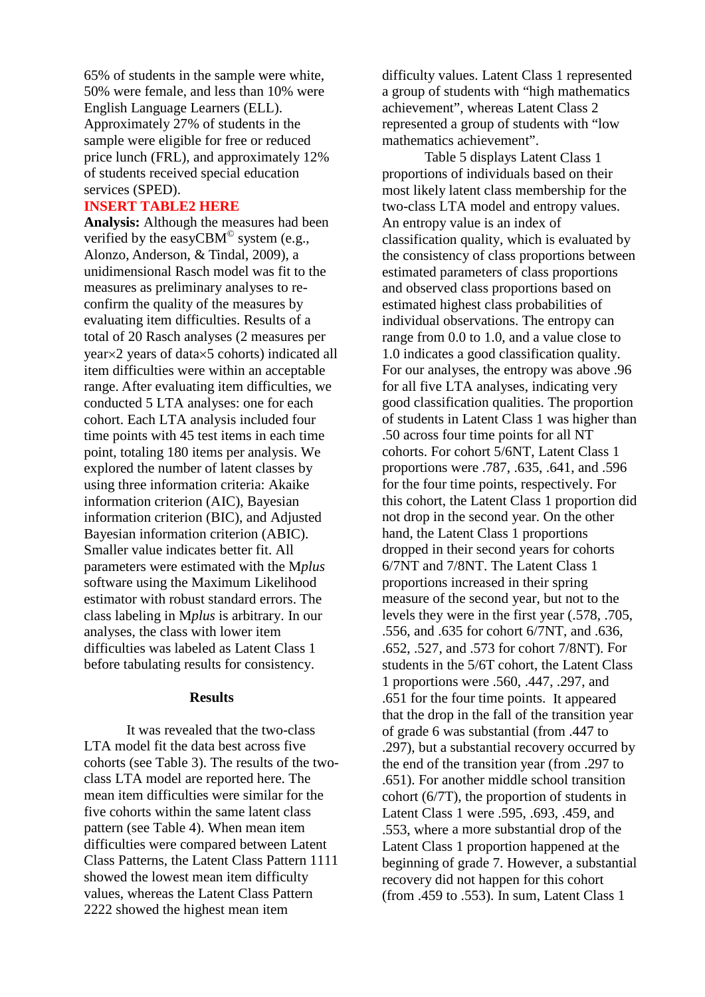65% of students in the sample were white, 50% were female, and less than 10% were English Language Learners (ELL). Approximately 27% of students in the sample were eligible for free or reduced price lunch (FRL), and approximately 12% of students received special education services (SPED).

#### **INSERT TABLE2 HERE**

**Analysis:** Although the measures had been verified by the easy $CBM^{\odot}$  system (e.g., Alonzo, Anderson, & Tindal, 2009), a unidimensional Rasch model was fit to the measures as preliminary analyses to reconfirm the quality of the measures by evaluating item difficulties. Results of a total of 20 Rasch analyses (2 measures per year×2 years of data×5 cohorts) indicated all item difficulties were within an acceptable range. After evaluating item difficulties, we conducted 5 LTA analyses: one for each cohort. Each LTA analysis included four time points with 45 test items in each time point, totaling 180 items per analysis. We explored the number of latent classes by using three information criteria: Akaike information criterion (AIC), Bayesian information criterion (BIC), and Adjusted Bayesian information criterion (ABIC). Smaller value indicates better fit. All parameters were estimated with the M*plus* software using the Maximum Likelihood estimator with robust standard errors. The class labeling in M*plus* is arbitrary. In our analyses, the class with lower item difficulties was labeled as Latent Class 1 before tabulating results for consistency.

#### **Results**

It was revealed that the two-class LTA model fit the data best across five cohorts (see Table 3). The results of the twoclass LTA model are reported here. The mean item difficulties were similar for the five cohorts within the same latent class pattern (see Table 4). When mean item difficulties were compared between Latent Class Patterns, the Latent Class Pattern 1111 showed the lowest mean item difficulty values, whereas the Latent Class Pattern 2222 showed the highest mean item

difficulty values. Latent Class 1 represented a group of students with "high mathematics achievement", whereas Latent Class 2 represented a group of students with "low mathematics achievement".

Table 5 displays Latent Class 1 proportions of individuals based on their most likely latent class membership for the two-class LTA model and entropy values. An entropy value is an index of classification quality, which is evaluated by the consistency of class proportions between estimated parameters of class proportions and observed class proportions based on estimated highest class probabilities of individual observations. The entropy can range from 0.0 to 1.0, and a value close to 1.0 indicates a good classification quality. For our analyses, the entropy was above .96 for all five LTA analyses, indicating very good classification qualities. The proportion of students in Latent Class 1 was higher than .50 across four time points for all NT cohorts. For cohort 5/6NT, Latent Class 1 proportions were .787, .635, .641, and .596 for the four time points, respectively. For this cohort, the Latent Class 1 proportion did not drop in the second year. On the other hand, the Latent Class 1 proportions dropped in their second years for cohorts 6/7NT and 7/8NT. The Latent Class 1 proportions increased in their spring measure of the second year, but not to the levels they were in the first year (.578, .705, .556, and .635 for cohort 6/7NT, and .636, .652, .527, and .573 for cohort 7/8NT). For students in the 5/6T cohort, the Latent Class 1 proportions were .560, .447, .297, and .651 for the four time points. It appeared that the drop in the fall of the transition year of grade 6 was substantial (from .447 to .297), but a substantial recovery occurred by the end of the transition year (from .297 to .651). For another middle school transition cohort (6/7T), the proportion of students in Latent Class 1 were .595, .693, .459, and .553, where a more substantial drop of the Latent Class 1 proportion happened at the beginning of grade 7. However, a substantial recovery did not happen for this cohort (from .459 to .553). In sum, Latent Class 1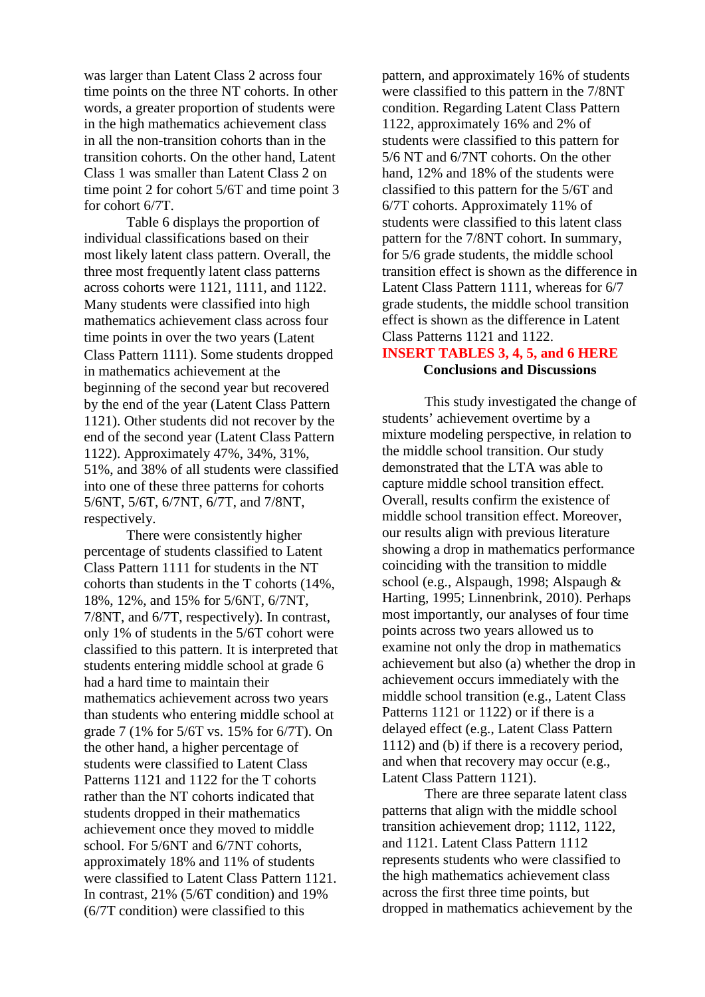was larger than Latent Class 2 across four time points on the three NT cohorts. In other words, a greater proportion of students were in the high mathematics achievement class in all the non-transition cohorts than in the transition cohorts. On the other hand, Latent Class 1 was smaller than Latent Class 2 on time point 2 for cohort 5/6T and time point 3 for cohort 6/7T.

Table 6 displays the proportion of individual classifications based on their most likely latent class pattern. Overall, the three most frequently latent class patterns across cohorts were 1121, 1111, and 1122. Many students were classified into high mathematics achievement class across four time points in over the two years (Latent Class Pattern 1111). Some students dropped in mathematics achievement at the beginning of the second year but recovered by the end of the year (Latent Class Pattern 1121). Other students did not recover by the end of the second year (Latent Class Pattern 1122). Approximately 47%, 34%, 31%, 51%, and 38% of all students were classified into one of these three patterns for cohorts 5/6NT, 5/6T, 6/7NT, 6/7T, and 7/8NT, respectively.

There were consistently higher percentage of students classified to Latent Class Pattern 1111 for students in the NT cohorts than students in the T cohorts (14%, 18%, 12%, and 15% for 5/6NT, 6/7NT, 7/8NT, and 6/7T, respectively). In contrast, only 1% of students in the 5/6T cohort were classified to this pattern. It is interpreted that students entering middle school at grade 6 had a hard time to maintain their mathematics achievement across two years than students who entering middle school at grade 7 (1% for 5/6T vs. 15% for 6/7T). On the other hand, a higher percentage of students were classified to Latent Class Patterns 1121 and 1122 for the T cohorts rather than the NT cohorts indicated that students dropped in their mathematics achievement once they moved to middle school. For 5/6NT and 6/7NT cohorts, approximately 18% and 11% of students were classified to Latent Class Pattern 1121. In contrast, 21% (5/6T condition) and 19% (6/7T condition) were classified to this

pattern, and approximately 16% of students were classified to this pattern in the 7/8NT condition. Regarding Latent Class Pattern 1122, approximately 16% and 2% of students were classified to this pattern for 5/6 NT and 6/7NT cohorts. On the other hand, 12% and 18% of the students were classified to this pattern for the 5/6T and 6/7T cohorts. Approximately 11% of students were classified to this latent class pattern for the 7/8NT cohort. In summary, for 5/6 grade students, the middle school transition effect is shown as the difference in Latent Class Pattern 1111, whereas for 6/7 grade students, the middle school transition effect is shown as the difference in Latent Class Patterns 1121 and 1122.

## **INSERT TABLES 3, 4, 5, and 6 HERE Conclusions and Discussions**

This study investigated the change of students' achievement overtime by a mixture modeling perspective, in relation to the middle school transition. Our study demonstrated that the LTA was able to capture middle school transition effect. Overall, results confirm the existence of middle school transition effect. Moreover, our results align with previous literature showing a drop in mathematics performance coinciding with the transition to middle school (e.g., Alspaugh, 1998; Alspaugh & Harting, 1995; Linnenbrink, 2010). Perhaps most importantly, our analyses of four time points across two years allowed us to examine not only the drop in mathematics achievement but also (a) whether the drop in achievement occurs immediately with the middle school transition (e.g., Latent Class Patterns 1121 or 1122) or if there is a delayed effect (e.g., Latent Class Pattern 1112) and (b) if there is a recovery period, and when that recovery may occur (e.g., Latent Class Pattern 1121).

There are three separate latent class patterns that align with the middle school transition achievement drop; 1112, 1122, and 1121. Latent Class Pattern 1112 represents students who were classified to the high mathematics achievement class across the first three time points, but dropped in mathematics achievement by the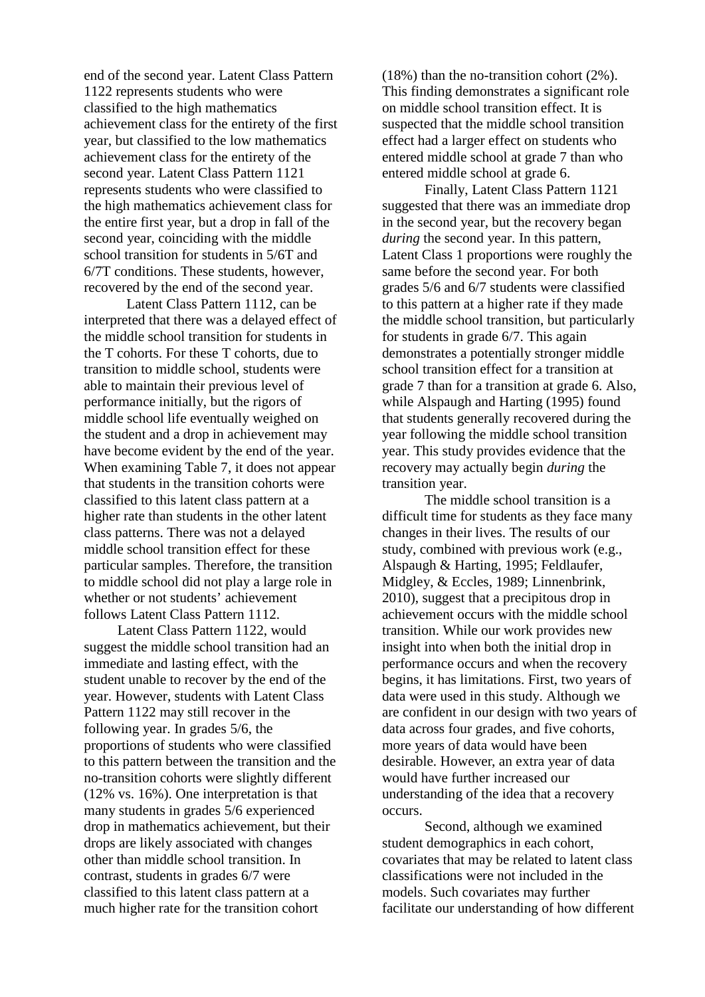end of the second year. Latent Class Pattern 1122 represents students who were classified to the high mathematics achievement class for the entirety of the first year, but classified to the low mathematics achievement class for the entirety of the second year. Latent Class Pattern 1121 represents students who were classified to the high mathematics achievement class for the entire first year, but a drop in fall of the second year, coinciding with the middle school transition for students in 5/6T and 6/7T conditions. These students, however, recovered by the end of the second year.

Latent Class Pattern 1112, can be interpreted that there was a delayed effect of the middle school transition for students in the T cohorts. For these T cohorts, due to transition to middle school, students were able to maintain their previous level of performance initially, but the rigors of middle school life eventually weighed on the student and a drop in achievement may have become evident by the end of the year. When examining Table 7, it does not appear that students in the transition cohorts were classified to this latent class pattern at a higher rate than students in the other latent class patterns. There was not a delayed middle school transition effect for these particular samples. Therefore, the transition to middle school did not play a large role in whether or not students' achievement follows Latent Class Pattern 1112.

Latent Class Pattern 1122, would suggest the middle school transition had an immediate and lasting effect, with the student unable to recover by the end of the year. However, students with Latent Class Pattern 1122 may still recover in the following year. In grades 5/6, the proportions of students who were classified to this pattern between the transition and the no-transition cohorts were slightly different (12% vs. 16%). One interpretation is that many students in grades 5/6 experienced drop in mathematics achievement, but their drops are likely associated with changes other than middle school transition. In contrast, students in grades 6/7 were classified to this latent class pattern at a much higher rate for the transition cohort

(18%) than the no-transition cohort (2%). This finding demonstrates a significant role on middle school transition effect. It is suspected that the middle school transition effect had a larger effect on students who entered middle school at grade 7 than who entered middle school at grade 6.

Finally, Latent Class Pattern 1121 suggested that there was an immediate drop in the second year, but the recovery began *during* the second year. In this pattern, Latent Class 1 proportions were roughly the same before the second year. For both grades 5/6 and 6/7 students were classified to this pattern at a higher rate if they made the middle school transition, but particularly for students in grade 6/7. This again demonstrates a potentially stronger middle school transition effect for a transition at grade 7 than for a transition at grade 6. Also, while Alspaugh and Harting (1995) found that students generally recovered during the year following the middle school transition year. This study provides evidence that the recovery may actually begin *during* the transition year.

The middle school transition is a difficult time for students as they face many changes in their lives. The results of our study, combined with previous work (e.g., Alspaugh & Harting, 1995; Feldlaufer, Midgley, & Eccles, 1989; Linnenbrink, 2010), suggest that a precipitous drop in achievement occurs with the middle school transition. While our work provides new insight into when both the initial drop in performance occurs and when the recovery begins, it has limitations. First, two years of data were used in this study. Although we are confident in our design with two years of data across four grades, and five cohorts, more years of data would have been desirable. However, an extra year of data would have further increased our understanding of the idea that a recovery occurs.

Second, although we examined student demographics in each cohort, covariates that may be related to latent class classifications were not included in the models. Such covariates may further facilitate our understanding of how different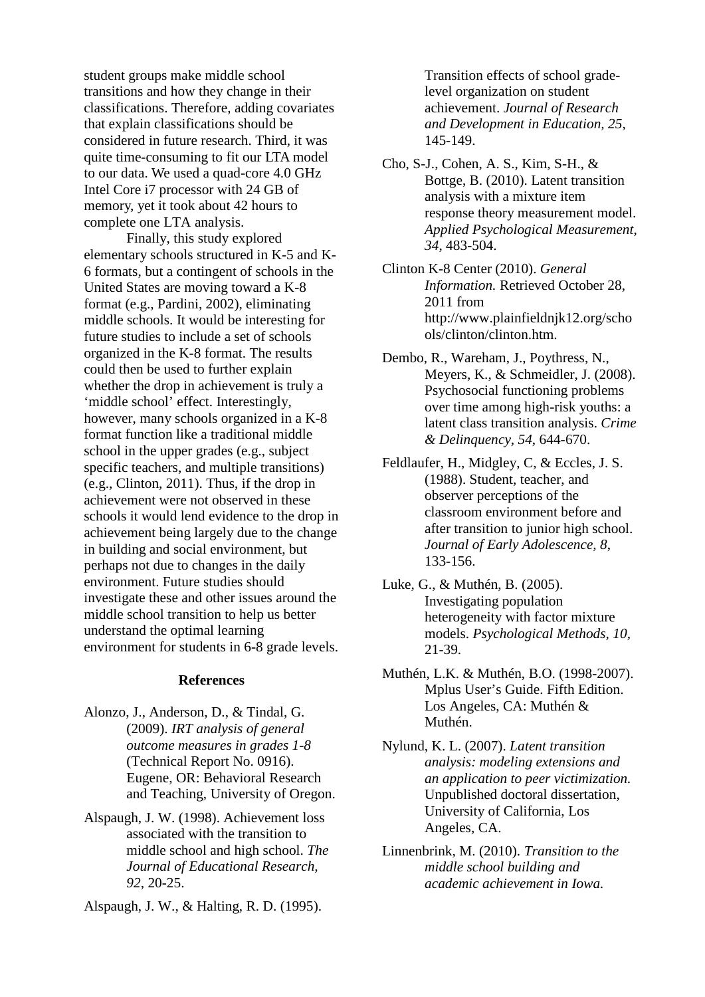student groups make middle school transitions and how they change in their classifications. Therefore, adding covariates that explain classifications should be considered in future research. Third, it was quite time-consuming to fit our LTA model to our data. We used a quad-core 4.0 GHz Intel Core i7 processor with 24 GB of memory, yet it took about 42 hours to complete one LTA analysis.

Finally, this study explored elementary schools structured in K-5 and K-6 formats, but a contingent of schools in the United States are moving toward a K-8 format (e.g., Pardini, 2002), eliminating middle schools. It would be interesting for future studies to include a set of schools organized in the K-8 format. The results could then be used to further explain whether the drop in achievement is truly a 'middle school' effect. Interestingly, however, many schools organized in a K-8 format function like a traditional middle school in the upper grades (e.g., subject specific teachers, and multiple transitions) (e.g., Clinton, 2011). Thus, if the drop in achievement were not observed in these schools it would lend evidence to the drop in achievement being largely due to the change in building and social environment, but perhaps not due to changes in the daily environment. Future studies should investigate these and other issues around the middle school transition to help us better understand the optimal learning environment for students in 6-8 grade levels.

### **References**

- Alonzo, J., Anderson, D., & Tindal, G. (2009). *IRT analysis of general outcome measures in grades 1-8*  (Technical Report No. 0916). Eugene, OR: Behavioral Research and Teaching, University of Oregon.
- Alspaugh, J. W. (1998). Achievement loss associated with the transition to middle school and high school. *The Journal of Educational Research, 92*, 20-25.

Alspaugh, J. W., & Halting, R. D. (1995).

Transition effects of school gradelevel organization on student achievement. *Journal of Research and Development in Education, 25*, 145-149.

- Cho, S-J., Cohen, A. S., Kim, S-H., & Bottge, B. (2010). Latent transition analysis with a mixture item response theory measurement model. *Applied Psychological Measurement*, *34*, 483-504.
- Clinton K-8 Center (2010). *General Information.* Retrieved October 28, 2011 from http://www.plainfieldnjk12.org/scho ols/clinton/clinton.htm.
- Dembo, R., Wareham, J., Poythress, N., Meyers, K., & Schmeidler, J. (2008). Psychosocial functioning problems over time among high-risk youths: a latent class transition analysis. *Crime & Delinquency, 54*, 644-670.
- Feldlaufer, H., Midgley, C, & Eccles, J. S. (1988). Student, teacher, and observer perceptions of the classroom environment before and after transition to junior high school. *Journal of Early Adolescence, 8*, 133-156.
- Luke, G., & Muthén, B. (2005). Investigating population heterogeneity with factor mixture models. *Psychological Methods, 10,*  21-39.
- Muthén, L.K. & Muthén, B.O. (1998-2007). Mplus User's Guide. Fifth Edition. Los Angeles, CA: Muthén & Muthén.
- Nylund, K. L. (2007). *Latent transition analysis: modeling extensions and an application to peer victimization.*  Unpublished doctoral dissertation, University of California, Los Angeles, CA.
- Linnenbrink, M. (2010). *Transition to the middle school building and academic achievement in Iowa.*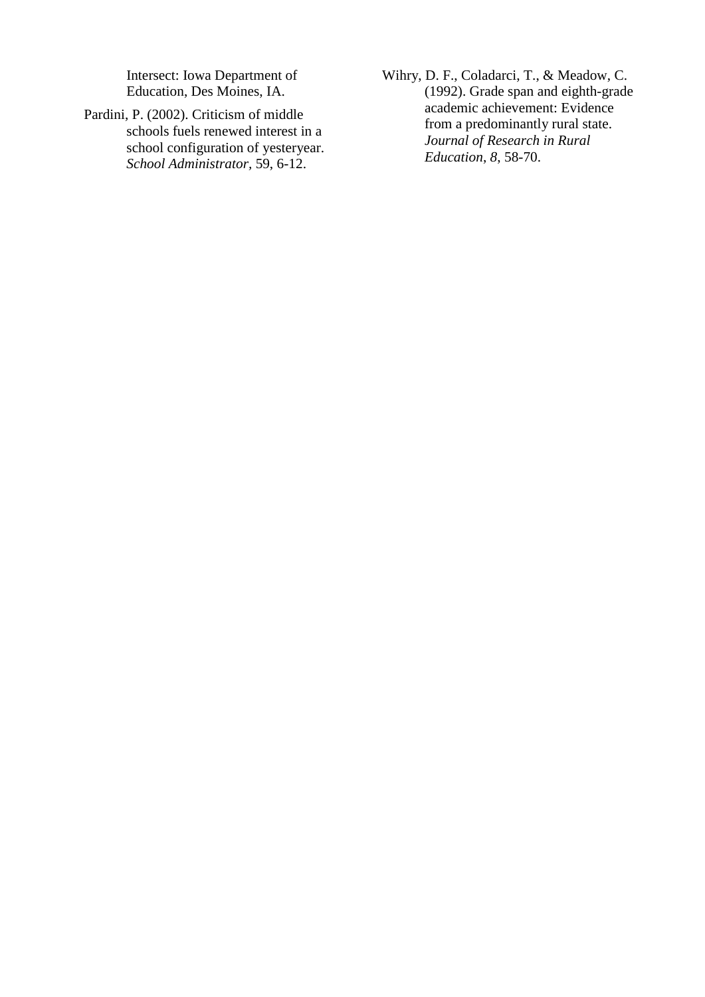Intersect: Iowa Department of Education, Des Moines, IA.

- Pardini, P. (2002). Criticism of middle schools fuels renewed interest in a school configuration of yesteryear. *School Administrator,* 59, 6-12.
- Wihry, D. F., Coladarci, T., & Meadow, C. (1992). Grade span and eighth-grade academic achievement: Evidence from a predominantly rural state. *Journal of Research in Rural Education*, *8*, 58-70.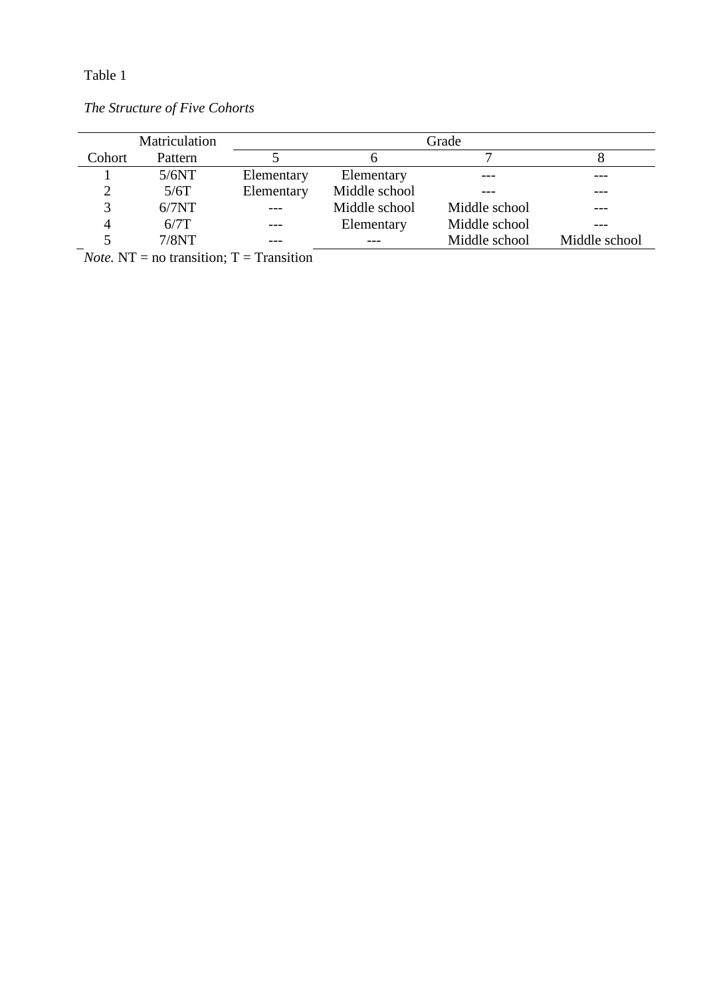|        | Matriculation | Grade      |               |               |               |  |  |  |
|--------|---------------|------------|---------------|---------------|---------------|--|--|--|
| Cohort | Pattern       |            |               |               |               |  |  |  |
|        | 5/6NT         | Elementary | Elementary    |               |               |  |  |  |
|        | 5/6T          | Elementary | Middle school |               |               |  |  |  |
|        | 6/7NT         |            | Middle school | Middle school |               |  |  |  |
|        | 6/7T          |            | Elementary    | Middle school |               |  |  |  |
|        | 7/8NT         |            |               | Middle school | Middle school |  |  |  |

*The Structure of Five Cohorts* 

*Note.* NT = no transition; T = Transition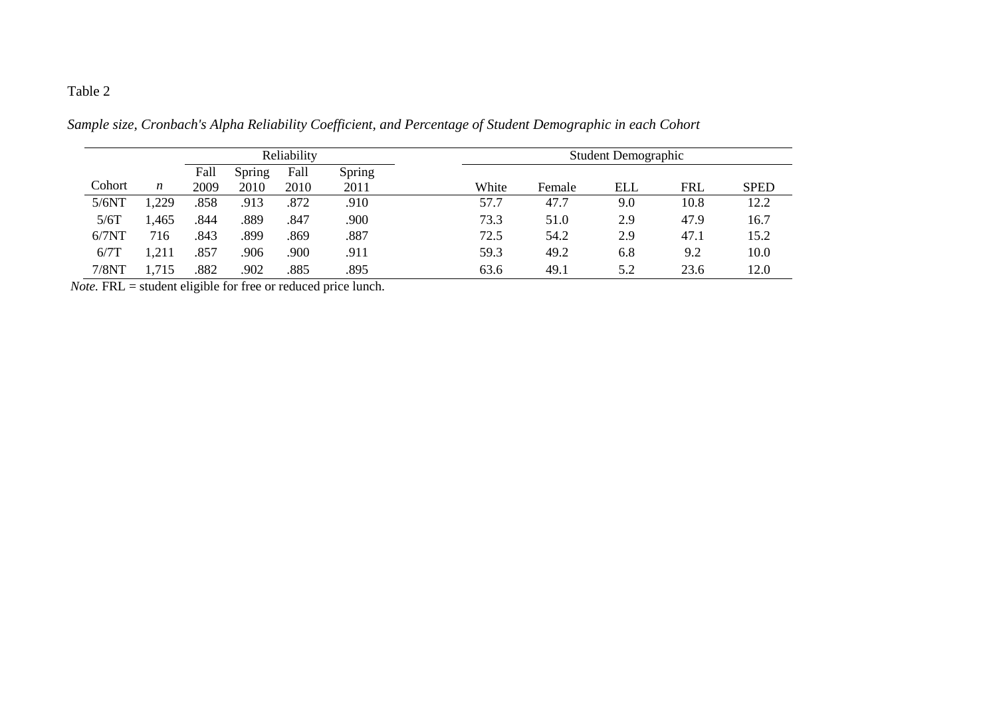|        | Reliability      |      |        | <b>Student Demographic</b> |        |       |        |            |            |             |
|--------|------------------|------|--------|----------------------------|--------|-------|--------|------------|------------|-------------|
|        |                  | Fall | Spring | Fall                       | Spring |       |        |            |            |             |
| Cohort | $\boldsymbol{n}$ | 2009 | 2010   | 2010                       | 2011   | White | Female | <b>ELL</b> | <b>FRL</b> | <b>SPED</b> |
| 5/6NT  | 1,229            | .858 | .913   | .872                       | .910   | 57.7  | 47.7   | 9.0        | 10.8       | 12.2        |
| 5/6T   | l.465            | .844 | .889   | .847                       | 900    | 73.3  | 51.0   | 2.9        | 47.9       | 16.7        |
| 6/7NT  | 716              | .843 | .899   | 869                        | .887   | 72.5  | 54.2   | 2.9        | 47.1       | 15.2        |
| 6/7T   |                  | .857 | .906   | .900                       | .911   | 59.3  | 49.2   | 6.8        | 9.2        | 10.0        |
| 7/8NT  | 1,715            | .882 | .902   | .885                       | .895   | 63.6  | 49.1   | 5.2        | 23.6       | 12.0        |

*Sample size, Cronbach's Alpha Reliability Coefficient, and Percentage of Student Demographic in each Cohort*

*Note.* FRL = student eligible for free or reduced price lunch.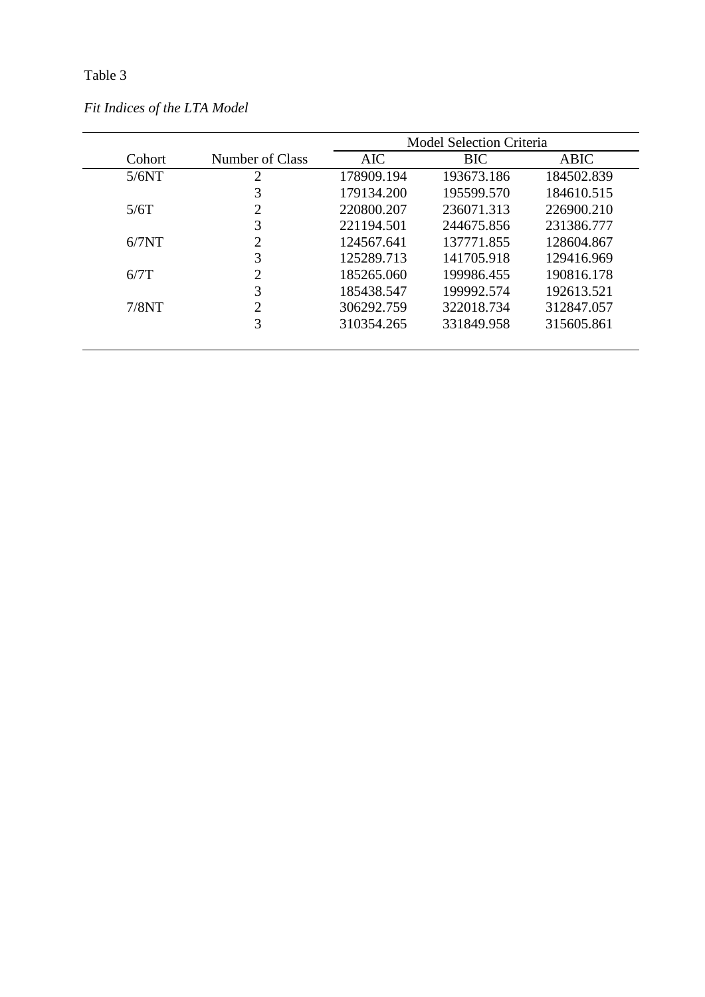|        |                        | <b>Model Selection Criteria</b> |            |            |  |  |  |
|--------|------------------------|---------------------------------|------------|------------|--|--|--|
| Cohort | Number of Class        | <b>AIC</b>                      | <b>BIC</b> | ABIC       |  |  |  |
| 5/6NT  | 2                      | 178909.194                      | 193673.186 | 184502.839 |  |  |  |
|        | 3                      | 179134.200                      | 195599.570 | 184610.515 |  |  |  |
| 5/6T   | $\mathcal{D}_{\cdot}$  | 220800.207                      | 236071.313 | 226900.210 |  |  |  |
|        | 3                      | 221194.501                      | 244675.856 | 231386.777 |  |  |  |
| 6/7NT  | $\mathfrak{D}_{\cdot}$ | 124567.641                      | 137771.855 | 128604.867 |  |  |  |
|        | 3                      | 125289.713                      | 141705.918 | 129416.969 |  |  |  |
| 6/7T   | ∍                      | 185265.060                      | 199986.455 | 190816.178 |  |  |  |
|        | 3                      | 185438.547                      | 199992.574 | 192613.521 |  |  |  |
| 7/8NT  | ◠                      | 306292.759                      | 322018.734 | 312847.057 |  |  |  |
|        | 3                      | 310354.265                      | 331849.958 | 315605.861 |  |  |  |

*Fit Indices of the LTA Model*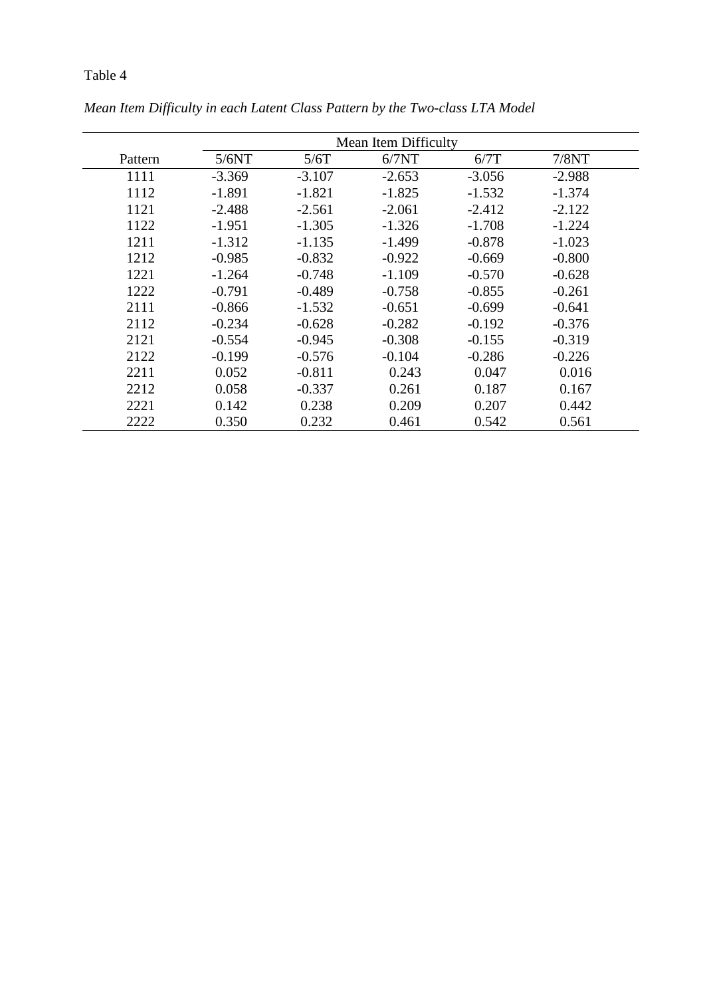|         |          | Mean Item Difficulty |          |          |          |  |  |  |  |
|---------|----------|----------------------|----------|----------|----------|--|--|--|--|
| Pattern | 5/6NT    | 5/6T                 | 6/7NT    | 6/7T     | 7/8NT    |  |  |  |  |
| 1111    | $-3.369$ | $-3.107$             | $-2.653$ | $-3.056$ | $-2.988$ |  |  |  |  |
| 1112    | $-1.891$ | $-1.821$             | $-1.825$ | $-1.532$ | $-1.374$ |  |  |  |  |
| 1121    | $-2.488$ | $-2.561$             | $-2.061$ | $-2.412$ | $-2.122$ |  |  |  |  |
| 1122    | $-1.951$ | $-1.305$             | $-1.326$ | $-1.708$ | $-1.224$ |  |  |  |  |
| 1211    | $-1.312$ | $-1.135$             | $-1.499$ | $-0.878$ | $-1.023$ |  |  |  |  |
| 1212    | $-0.985$ | $-0.832$             | $-0.922$ | $-0.669$ | $-0.800$ |  |  |  |  |
| 1221    | $-1.264$ | $-0.748$             | $-1.109$ | $-0.570$ | $-0.628$ |  |  |  |  |
| 1222    | $-0.791$ | $-0.489$             | $-0.758$ | $-0.855$ | $-0.261$ |  |  |  |  |
| 2111    | $-0.866$ | $-1.532$             | $-0.651$ | $-0.699$ | $-0.641$ |  |  |  |  |
| 2112    | $-0.234$ | $-0.628$             | $-0.282$ | $-0.192$ | $-0.376$ |  |  |  |  |
| 2121    | $-0.554$ | $-0.945$             | $-0.308$ | $-0.155$ | $-0.319$ |  |  |  |  |
| 2122    | $-0.199$ | $-0.576$             | $-0.104$ | $-0.286$ | $-0.226$ |  |  |  |  |
| 2211    | 0.052    | $-0.811$             | 0.243    | 0.047    | 0.016    |  |  |  |  |
| 2212    | 0.058    | $-0.337$             | 0.261    | 0.187    | 0.167    |  |  |  |  |
| 2221    | 0.142    | 0.238                | 0.209    | 0.207    | 0.442    |  |  |  |  |
| 2222    | 0.350    | 0.232                | 0.461    | 0.542    | 0.561    |  |  |  |  |

*Mean Item Difficulty in each Latent Class Pattern by the Two-class LTA Model*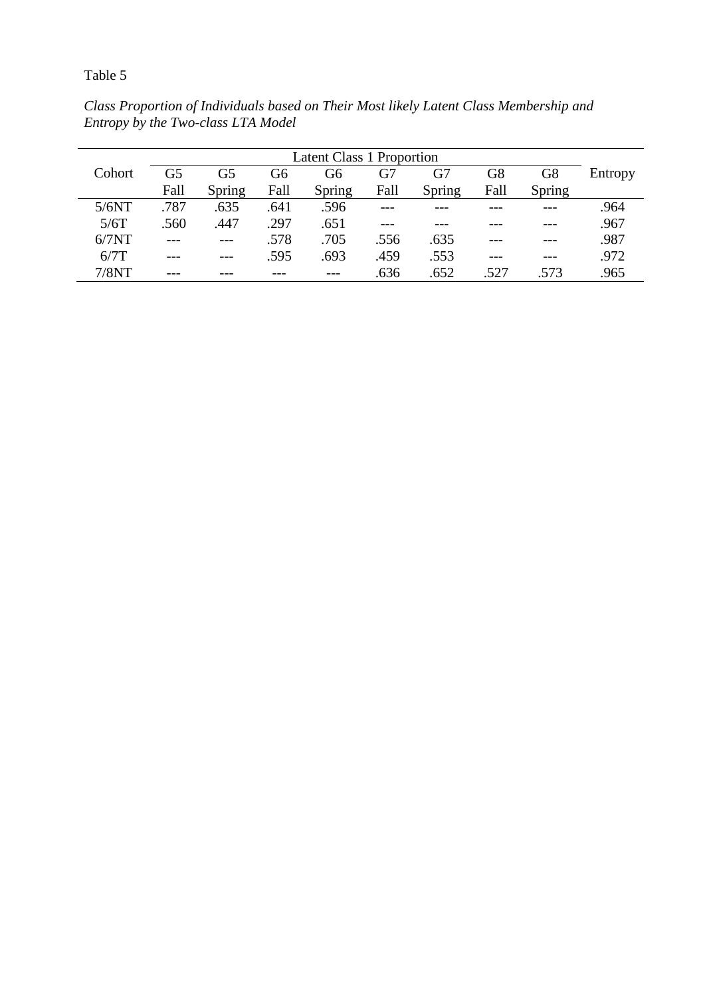*Class Proportion of Individuals based on Their Most likely Latent Class Membership and Entropy by the Two-class LTA Model* 

| <b>Latent Class 1 Proportion</b> |      |        |      |        |      |        |                |        |         |
|----------------------------------|------|--------|------|--------|------|--------|----------------|--------|---------|
| Cohort                           | G5   | G5     | G6   | G6     | G7   | G7     | G <sub>8</sub> | G8     | Entropy |
|                                  | Fall | Spring | Fall | Spring | Fall | Spring | Fall           | Spring |         |
| 5/6NT                            | .787 | .635   | .641 | .596   |      |        |                |        | .964    |
| 5/6T                             | .560 | .447   | .297 | .651   |      |        |                |        | .967    |
| 6/7NT                            |      |        | .578 | .705   | .556 | .635   |                |        | .987    |
| 6/7T                             |      |        | .595 | .693   | .459 | .553   |                |        | .972    |
| 7/8NT                            |      |        |      |        | .636 | .652   | .527           | .573   | .965    |